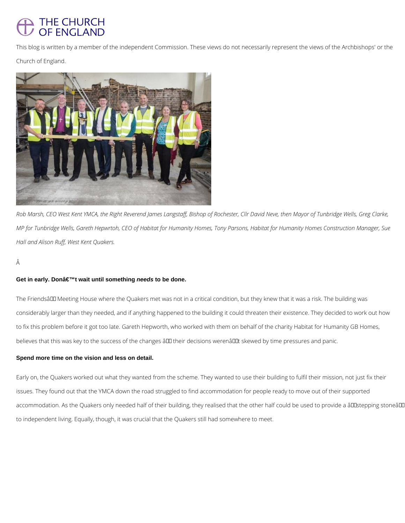# **THE CHURCH OF ENGLAND**

This blog is written by a member of the independent Commission. These views do not necessarily represent the views of the Archbishops' or the

Church of England.



*Rob Marsh, CEO West Kent YMCA, the Right Reverend James Langstaff, Bishop of Rochester, Cllr David Neve, then Mayor of Tunbridge Wells, Greg Clarke, MP for Tunbridge Wells, Gareth Hepwrtoh, CEO of Habitat for Humanity Homes, Tony Parsons, Habitat for Humanity Homes Construction Manager, Sue Hall and Alison Ruff, West Kent Quakers.*

Â

# Get in early. Donâ€<sup>™t</sup> wait until something *needs* to be done.

The Friendsâ III Meeting House where the Quakers met was not in a critical condition, but they knew that it was a risk. The building was considerably larger than they needed, and if anything happened to the building it could threaten their existence. They decided to work out how to fix this problem before it got too late. Gareth Hepworth, who worked with them on behalf of the charity Habitat for Humanity GB Homes, believes that this was key to the success of the changes â II their decisions werenâ II skewed by time pressures and panic.

# **Spend more time on the vision and less on detail.**

Early on, the Quakers worked out what they wanted from the scheme. They wanted to use their building to fulfil their mission, not just fix their

issues. They found out that the YMCA down the road struggled to find accommodation for people ready to move out of their supported

accommodation. As the Quakers only needed half of their building, they realised that the other half could be used to provide a âll estepping stoneâl

to independent living. Equally, though, it was crucial that the Quakers still had somewhere to meet.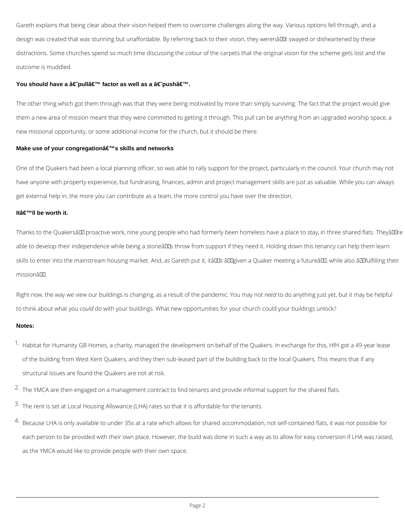Gareth explains that being clear about their vision helped them to overcome challenges along the way. Various options fell through, and a design was created that was stunning but unaffordable. By referring back to their vision, they werenâllat swayed or disheartened by these distractions. Some churches spend so much time discussing the colour of the carpets that the original vision for the scheme gets lost and the outcome is muddled.

## You should have a †pullâ€<sup>™</sup> factor as well as a †pushâ€<sup>™</sup>.

The other thing which got them through was that they were being motivated by more than simply surviving. The fact that the project would give them a new area of mission meant that they were committed to getting it through. This pull can be anything from an upgraded worship space, a new missional opportunity, or some additional income for the church, but it should be there.

## **Make use of your congregation's skills and networks**

One of the Quakers had been a local planning officer, so was able to rally support for the project, particularly in the council. Your church may not have anyone with property experience, but fundraising, finances, admin and project management skills are just as valuable. While you can always get external help in, the more you can contribute as a team, the more control you have over the direction.

#### Itâ€<sup>™</sup>II be worth it.

Thanks to the Quakersâll proactive work, nine young people who had formerly been homeless have a place to stay, in three shared flats. Theyâll lire able to develop their independence while being a stoneâlDs throw from support if they need it. Holding down this tenancy can help them learn skills to enter into the mainstream housing market. And, as Gareth put it, itâlles âllegiven a Quaker meeting a futureâlle, while also âllefulfilling their missionâll.

- 1. Habitat for Humanity GB Homes, a charity, managed the development on behalf of the Quakers. In exchange for this, HfH got a 49-year lease of the building from West Kent Quakers, and they then sub-leased part of the building back to the local Quakers. This means that if any structural issues are found the Quakers are not at risk.
- 
- <sup>2.</sup> The YMCA are then engaged on a management contract to find tenants and provide informal support for the shared flats.
- 3. The rent is set at Local Housing Allowance (LHA) rates so that it is affordable for the tenants.
- <sup>4.</sup> Because LHA is only available to under 35s at a rate which allows for shared accommodation, not self-contained flats, it was not possible for
	- each person to be provided with their own place. However, the build was done in such a way as to allow for easy conversion if LHA was raised,

Right now, the way we view our buildings is changing, as a result of the pandemic. You may not *need* to do anything just yet, but it may be helpful to think about what you *could* do with your buildings. What new opportunities for your church could your buildings unlock?

#### **Notes:**

as the YMCA would like to provide people with their own space.